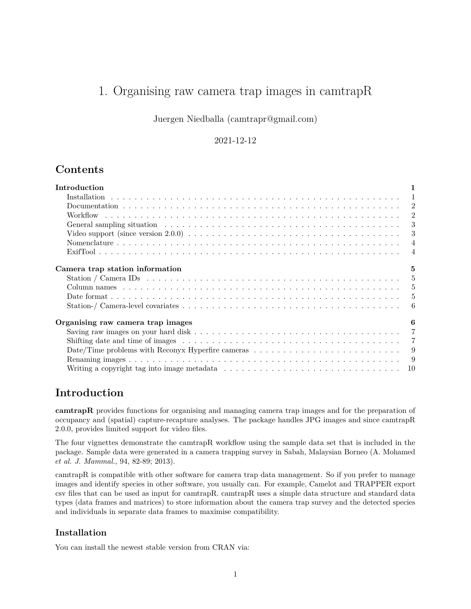# 1. Organising raw camera trap images in camtrapR

Juergen Niedballa [\(camtrapr@gmail.com\)](mailto:camtrapr@gmail.com)

### 2021-12-12

# **Contents**

| Introduction                                                                                                                                                                                                                   | 1              |
|--------------------------------------------------------------------------------------------------------------------------------------------------------------------------------------------------------------------------------|----------------|
|                                                                                                                                                                                                                                |                |
|                                                                                                                                                                                                                                |                |
|                                                                                                                                                                                                                                | $\overline{2}$ |
| General sampling situation enterpreteration of the set of the set of the set of the set of the set of the set of the set of the set of the set of the set of the set of the set of the set of the set of the set of the set of | -3             |
|                                                                                                                                                                                                                                | 3              |
|                                                                                                                                                                                                                                | $\overline{4}$ |
|                                                                                                                                                                                                                                | $\overline{4}$ |
| Camera trap station information                                                                                                                                                                                                | 5              |
|                                                                                                                                                                                                                                |                |
|                                                                                                                                                                                                                                |                |
|                                                                                                                                                                                                                                |                |
|                                                                                                                                                                                                                                | 6              |
| Organising raw camera trap images                                                                                                                                                                                              | 6              |
|                                                                                                                                                                                                                                |                |
| Shifting date and time of images $\ldots \ldots \ldots \ldots \ldots \ldots \ldots \ldots \ldots \ldots \ldots \ldots \ldots$                                                                                                  | $\overline{7}$ |
| Date/Time problems with Reconyx Hyperfire cameras $\dots \dots \dots \dots \dots \dots \dots \dots \dots \dots$                                                                                                                | - 9            |
| $\overline{9}$                                                                                                                                                                                                                 |                |
|                                                                                                                                                                                                                                |                |

# <span id="page-0-0"></span>**Introduction**

**camtrapR** provides functions for organising and managing camera trap images and for the preparation of occupancy and (spatial) capture-recapture analyses. The package handles JPG images and since camtrapR 2.0.0, provides limited support for video files.

The four vignettes demonstrate the camtrapR workflow using the sample data set that is included in the package. Sample data were generated in a camera trapping survey in Sabah, Malaysian Borneo (A. Mohamed *et al. J. Mammal.*, 94, 82-89; 2013).

camtrapR is compatible with other software for camera trap data management. So if you prefer to manage images and identify species in other software, you usually can. For example, Camelot and TRAPPER export csv files that can be used as input for camtrapR. camtrapR uses a simple data structure and standard data types (data frames and matrices) to store information about the camera trap survey and the detected species and individuals in separate data frames to maximise compatibility.

# <span id="page-0-1"></span>**Installation**

You can install the newest stable version from CRAN via: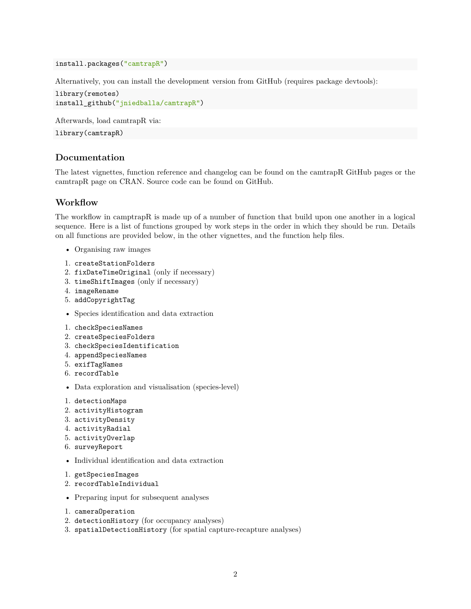install.packages("camtrapR")

Alternatively, you can install the development version from GitHub (requires package devtools):

```
library(remotes)
install_github("jniedballa/camtrapR")
```
Afterwards, load camtrapR via:

library(camtrapR)

### <span id="page-1-0"></span>**Documentation**

The latest vignettes, function reference and changelog can be found on the [camtrapR GitHub pages](https://jniedballa.github.io/camtrapR/) or the [camtrapR page on CRAN.](https://CRAN.R-project.org/package=camtrapR) Source code can be found on [GitHub.](https://github.com/jniedballa/camtrapR)

#### <span id="page-1-1"></span>**Workflow**

The workflow in camptrapR is made up of a number of function that build upon one another in a logical sequence. Here is a list of functions grouped by work steps in the order in which they should be run. Details on all functions are provided below, in the other vignettes, and the function help files.

- Organising raw images
- 1. createStationFolders
- 2. fixDateTimeOriginal (only if necessary)
- 3. timeShiftImages (only if necessary)
- 4. imageRename
- 5. addCopyrightTag
- Species identification and data extraction
- 1. checkSpeciesNames
- 2. createSpeciesFolders
- 3. checkSpeciesIdentification
- 4. appendSpeciesNames
- 5. exifTagNames
- 6. recordTable
- Data exploration and visualisation (species-level)
- 1. detectionMaps
- 2. activityHistogram
- 3. activityDensity
- 4. activityRadial
- 5. activityOverlap
- 6. surveyReport
- Individual identification and data extraction
- 1. getSpeciesImages
- 2. recordTableIndividual
- Preparing input for subsequent analyses
- 1. cameraOperation
- 2. detectionHistory (for occupancy analyses)
- 3. spatialDetectionHistory (for spatial capture-recapture analyses)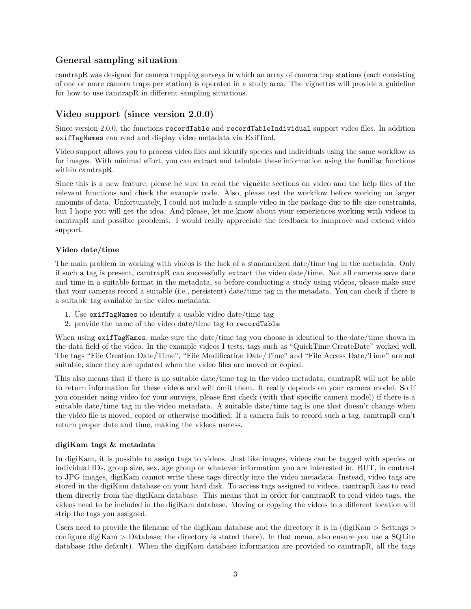# <span id="page-2-0"></span>**General sampling situation**

camtrapR was designed for camera trapping surveys in which an array of camera trap stations (each consisting of one or more camera traps per station) is operated in a study area. The vignettes will provide a guideline for how to use camtrapR in different sampling situations.

# <span id="page-2-1"></span>**Video support (since version 2.0.0)**

Since version 2.0.0, the functions recordTable and recordTableIndividual support video files. In addition exifTagNames can read and display video metadata via ExifTool.

Video support allows you to process video files and identify species and individuals using the same workflow as for images. With minimal effort, you can extract and tabulate these information using the familiar functions within camtrapR.

Since this is a new feature, please be sure to read the vignette sections on video and the help files of the relevant functions and check the example code. Also, please test the workflow before working on larger amounts of data. Unfortunately, I could not include a sample video in the package due to file size constraints, but I hope you will get the idea. And please, let me know about your experiences working with videos in camtrapR and possible problems. I would really appreciate the feedback to inmprove and extend video support.

#### **Video date/time**

The main problem in working with videos is the lack of a standardized date/time tag in the metadata. Only if such a tag is present, camtrapR can successfully extract the video date/time. Not all cameras save date and time in a suitable format in the metadata, so before conducting a study using videos, please make sure that your cameras record a suitable (i.e., persistent) date/time tag in the metadata. You can check if there is a suitable tag available in the video metadata:

- 1. Use exifTagNames to identify a usable video date/time tag
- 2. provide the name of the video date/time tag to recordTable

When using exifTagNames, make sure the date/time tag you choose is identical to the date/time shown in the data field of the video. In the example videos I tests, tags such as "QuickTime:CreateDate" worked well. The tags "File Creation Date/Time", "File Modification Date/Time" and "File Access Date/Time" are not suitable, since they are updated when the video files are moved or copied.

This also means that if there is no suitable date/time tag in the video metadata, camtrapR will not be able to return information for these videos and will omit them. It really depends on your camera model. So if you consider using video for your surveys, please first check (with that specific camera model) if there is a suitable date/time tag in the video metadata. A suitable date/time tag is one that doesn't change when the video file is moved, copied or otherwise modified. If a camera fails to record such a tag, camtrapR can't return proper date and time, making the videos useless.

#### **digiKam tags & metadata**

In digiKam, it is possible to assign tags to videos. Just like images, videos can be tagged with species or individual IDs, group size, sex, age group or whatever information you are interested in. BUT, in contrast to JPG images, digiKam cannot write these tags directly into the video metadata. Instead, video tags are stored in the digiKam database on your hard disk. To access tags assigned to videos, camtrapR has to read them directly from the digiKam database. This means that in order for camtrapR to read video tags, the videos need to be included in the digiKam database. Moving or copying the videos to a different location will strip the tags you assigned.

Users need to provide the filename of the digiKam database and the directory it is in (digiKam  $>$  Settings  $>$ configure digiKam > Database; the directory is stated there). In that menu, also ensure you use a SQLite database (the default). When the digiKam database information are provided to camtrapR, all the tags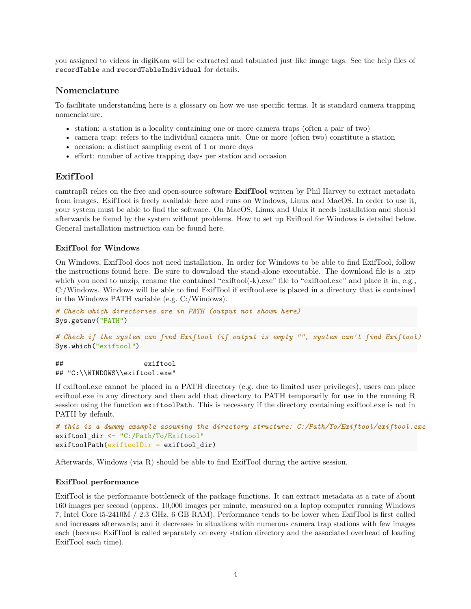you assigned to videos in digiKam will be extracted and tabulated just like image tags. See the help files of recordTable and recordTableIndividual for details.

## <span id="page-3-0"></span>**Nomenclature**

To facilitate understanding here is a glossary on how we use specific terms. It is standard camera trapping nomenclature.

- station: a station is a locality containing one or more camera traps (often a pair of two)
- camera trap: refers to the individual camera unit. One or more (often two) constitute a station
- occasion: a distinct sampling event of 1 or more days
- effort: number of active trapping days per station and occasion

## <span id="page-3-1"></span>**ExifTool**

camtrapR relies on the free and open-source software **ExifTool** written by Phil Harvey to extract metadata from images. ExifTool is freely available [here](https://exiftool.org/) and runs on Windows, Linux and MacOS. In order to use it, your system must be able to find the software. On MacOS, Linux and Unix it needs installation and should afterwards be found by the system without problems. How to set up Exiftool for Windows is detailed below. General installation instruction can be found [here.](https://exiftool.org/install.html)

#### **ExifTool for Windows**

On Windows, ExifTool does not need installation. In order for Windows to be able to find ExifTool, follow the instructions found [here.](https://exiftool.org/install.html) Be sure to download the stand-alone executable. The download file is a .zip which you need to unzip, rename the contained "exiftool(-k).exe" file to "exiftool.exe" and place it in, e.g., C:/Windows. Windows will be able to find ExifTool if exiftool.exe is placed in a directory that is contained in the Windows PATH variable (e.g. C:/Windows).

```
# Check which directories are in PATH (output not shown here)
Sys.getenv("PATH")
```

```
# Check if the system can find Exiftool (if output is empty "", system can't find Exiftool)
Sys.which("exiftool")
```
## exiftool ## "C:\\WINDOWS\\exiftool.exe"

If exiftool.exe cannot be placed in a PATH directory (e.g. due to limited user privileges), users can place exiftool.exe in any directory and then add that directory to PATH temporarily for use in the running R session using the function exiftoolPath. This is necessary if the directory containing exiftool.exe is not in PATH by default.

```
# this is a dummy example assuming the directory structure: C:/Path/To/Exiftool/exiftool.exe
exiftool_dir <- "C:/Path/To/Exiftool"
exiftoolPath(exiftoolDir = exiftool_dir)
```
Afterwards, Windows (via R) should be able to find ExifTool during the active session.

#### **ExifTool performance**

ExifTool is the performance bottleneck of the package functions. It can extract metadata at a rate of about 160 images per second (approx. 10,000 images per minute, measured on a laptop computer running Windows 7, Intel Core i5-2410M / 2.3 GHz, 6 GB RAM). Performance tends to be lower when ExifTool is first called and increases afterwards; and it decreases in situations with numerous camera trap stations with few images each (because ExifTool is called separately on every station directory and the associated overhead of loading ExifTool each time).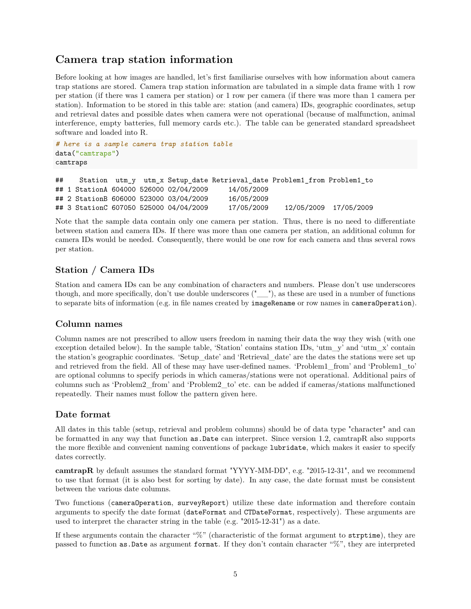# <span id="page-4-0"></span>**Camera trap station information**

Before looking at how images are handled, let's first familiarise ourselves with how information about camera trap stations are stored. Camera trap station information are tabulated in a simple data frame with 1 row per station (if there was 1 camera per station) or 1 row per camera (if there was more than 1 camera per station). Information to be stored in this table are: station (and camera) IDs, geographic coordinates, setup and retrieval dates and possible dates when camera were not operational (because of malfunction, animal interference, empty batteries, full memory cards etc.). The table can be generated standard spreadsheet software and loaded into R.

```
# here is a sample camera trap station table
data("camtraps")
camtraps
```

```
## Station utm_y utm_x Setup_date Retrieval_date Problem1_from Problem1_to
## 1 StationA 604000 526000 02/04/2009 14/05/2009
## 2 StationB 606000 523000 03/04/2009 16/05/2009
## 3 StationC 607050 525000 04/04/2009 17/05/2009 12/05/2009 17/05/2009
```
Note that the sample data contain only one camera per station. Thus, there is no need to differentiate between station and camera IDs. If there was more than one camera per station, an additional column for camera IDs would be needed. Consequently, there would be one row for each camera and thus several rows per station.

# <span id="page-4-1"></span>**Station / Camera IDs**

Station and camera IDs can be any combination of characters and numbers. Please don't use underscores though, and more specifically, don't use double underscores ("\_\_"), as these are used in a number of functions to separate bits of information (e.g. in file names created by imageRename or row names in cameraOperation).

## <span id="page-4-2"></span>**Column names**

Column names are not prescribed to allow users freedom in naming their data the way they wish (with one exception detailed below). In the sample table, 'Station' contains station IDs, 'utm\_y' and 'utm\_x' contain the station's geographic coordinates. 'Setup\_date' and 'Retrieval\_date' are the dates the stations were set up and retrieved from the field. All of these may have user-defined names. 'Problem1\_from' and 'Problem1\_to' are optional columns to specify periods in which cameras/stations were not operational. Additional pairs of columns such as 'Problem2\_from' and 'Problem2\_to' etc. can be added if cameras/stations malfunctioned repeatedly. Their names must follow the pattern given here.

# <span id="page-4-3"></span>**Date format**

All dates in this table (setup, retrieval and problem columns) should be of data type "character" and can be formatted in any way that function as.Date can interpret. Since version 1.2, camtrapR also supports the more flexible and convenient naming conventions of package lubridate, which makes it easier to specify dates correctly.

**camtrapR** by default assumes the standard format "YYYY-MM-DD", e.g. "2015-12-31", and we recommend to use that format (it is also best for sorting by date). In any case, the date format must be consistent between the various date columns.

Two functions (cameraOperation, surveyReport) utilize these date information and therefore contain arguments to specify the date format (dateFormat and CTDateFormat, respectively). These arguments are used to interpret the character string in the table (e.g. "2015-12-31") as a date.

If these arguments contain the character "%" (characteristic of the format argument to strptime), they are passed to function as.Date as argument format. If they don't contain character "%", they are interpreted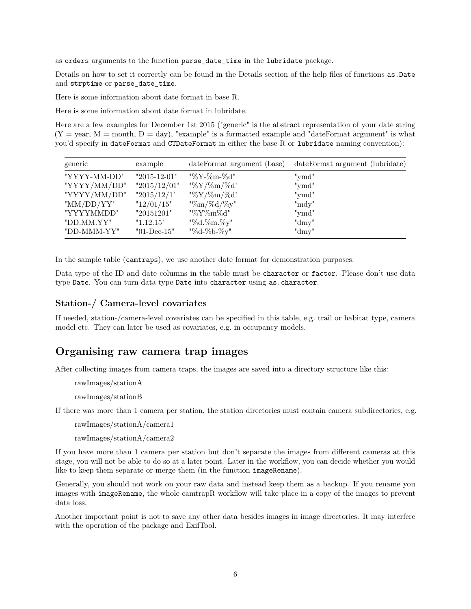as orders arguments to the function parse date time in the lubridate package.

Details on how to set it correctly can be found in the Details section of the help files of functions  $as.Date$ and strptime or parse\_date\_time.

[Here is some information about date format in base R.](https://www.r-bloggers.com/2013/08/date-formats-in-r/)

[Here is some information about date format in lubridate.](https://lubridate.tidyverse.org/)

Here are a few examples for December 1st 2015 ("generic" is the abstract representation of your date string  $(Y = year, M = month, D = day)$ , "example" is a formatted example and "dateFormat argument" is what you'd specify in dateFormat and CTDateFormat in either the base R or lubridate naming convention):

| generic       | example                              | dateFormat argument (base) | dateFormat argument (lubridate) |
|---------------|--------------------------------------|----------------------------|---------------------------------|
| "YYYY-MM-DD"  | $"2015-12-01"$                       | "%Y-%m-%d"                 | "ymd"                           |
| "YYYY/MM/DD"  | "2015/12/01"                         | "%Y/%m/%d"                 | "ymd"                           |
| "YYYY/MM/DD"  | "2015/12/1"                          | "%Y/%m/%d"                 | "ymd"                           |
| " $MM/DD/YY"$ | "12/01/15"                           | "%m/%d/%y"                 | "mdy"                           |
| "YYYYMMDD"    | "20151201"                           | "%Y%m%d"                   | "ymd"                           |
| "DD.MM.YY"    | "1.12.15"                            | "%d.%m.%y"                 | " $\text{dmy}$ "                |
| "DD-MMM-YY"   | $"01\text{-}\mathrm{Dec}\text{-}15"$ | "%d-%b-%y"                 | "dmy"                           |

In the sample table (camtraps), we use another date format for demonstration purposes.

Data type of the ID and date columns in the table must be character or factor. Please don't use data type Date. You can turn data type Date into character using as.character.

#### <span id="page-5-0"></span>**Station-/ Camera-level covariates**

If needed, station-/camera-level covariates can be specified in this table, e.g. trail or habitat type, camera model etc. They can later be used as covariates, e.g. in occupancy models.

# <span id="page-5-1"></span>**Organising raw camera trap images**

After collecting images from camera traps, the images are saved into a directory structure like this:

rawImages/stationA

rawImages/stationB

If there was more than 1 camera per station, the station directories must contain camera subdirectories, e.g.

rawImages/stationA/camera1

rawImages/stationA/camera2

If you have more than 1 camera per station but don't separate the images from different cameras at this stage, you will not be able to do so at a later point. Later in the workflow, you can decide whether you would like to keep them separate or merge them (in the function imageRename).

Generally, you should not work on your raw data and instead keep them as a backup. If you rename you images with imageRename, the whole camtrapR workflow will take place in a copy of the images to prevent data loss.

Another important point is not to save any other data besides images in image directories. It may interfere with the operation of the package and ExifTool.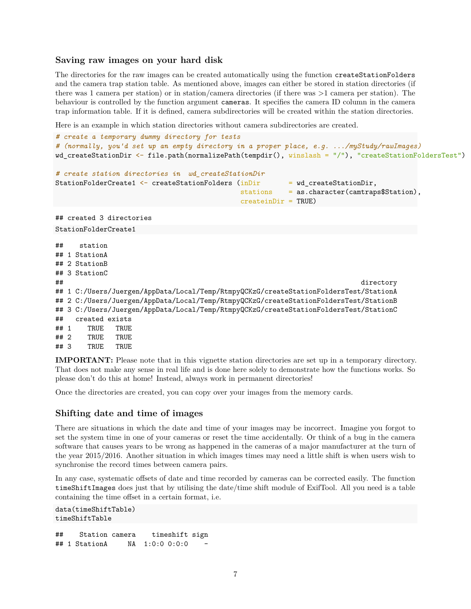#### <span id="page-6-0"></span>**Saving raw images on your hard disk**

The directories for the raw images can be created automatically using the function createStationFolders and the camera trap station table. As mentioned above, images can either be stored in station directories (if there was 1 camera per station) or in station/camera directories (if there was >1 camera per station). The behaviour is controlled by the function argument cameras. It specifies the camera ID column in the camera trap information table. If it is defined, camera subdirectories will be created within the station directories.

Here is an example in which station directories without camera subdirectories are created.

```
# create a temporary dummy directory for tests
# (normally, you'd set up an empty directory in a proper place, e.g. .../myStudy/rawImages)
wd_createStationDir <- file.path(normalizePath(tempdir(), winslash = "/"), "createStationFoldersTest")
# create station directories in wd_createStationDir
StationFolderCreate1 \leftarrow createStationFolders (inDir = wd createStationDir,
                                          stations = as.character(camtraps$Station),
                                          createinDir = TRUE)
## created 3 directories
StationFolderCreate1
## station
## 1 StationA
## 2 StationB
## 3 StationC
## directory
## 1 C:/Users/Juergen/AppData/Local/Temp/RtmpyQCKzG/createStationFoldersTest/StationA
## 2 C:/Users/Juergen/AppData/Local/Temp/RtmpyQCKzG/createStationFoldersTest/StationB
## 3 C:/Users/Juergen/AppData/Local/Temp/RtmpyQCKzG/createStationFoldersTest/StationC
## created exists
## 1 TRUE TRUE
## 2 TRUE TRUE
## 3 TRUE TRUE
```
**IMPORTANT:** Please note that in this vignette station directories are set up in a temporary directory. That does not make any sense in real life and is done here solely to demonstrate how the functions works. So please don't do this at home! Instead, always work in permanent directories!

Once the directories are created, you can copy over your images from the memory cards.

#### <span id="page-6-1"></span>**Shifting date and time of images**

There are situations in which the date and time of your images may be incorrect. Imagine you forgot to set the system time in one of your cameras or reset the time accidentally. Or think of a bug in the camera software that causes years to be wrong as happened in the cameras of a major manufacturer at the turn of the year 2015/2016. Another situation in which images times may need a little shift is when users wish to synchronise the record times between camera pairs.

In any case, systematic offsets of date and time recorded by cameras can be corrected easily. The function timeShiftImages does just that by utilising the date/time shift module of ExifTool. All you need is a table containing the time offset in a certain format, i.e.

```
data(timeShiftTable)
timeShiftTable
## Station camera timeshift sign
## 1 StationA NA 1:0:0 0:0:0 -
```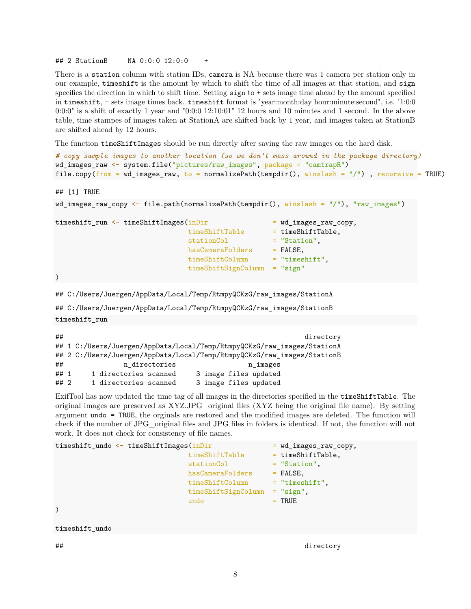## 2 StationB NA 0:0:0 12:0:0 +

There is a station column with station IDs, camera is NA because there was 1 camera per station only in our example, timeshift is the amount by which to shift the time of all images at that station, and sign specifies the direction in which to shift time. Setting sign to + sets image time ahead by the amount specified in timeshift, - sets image times back. timeshift format is "year:month:day hour:minute:second", i.e. "1:0:0  $0:0:0"$  is a shift of exactly 1 year and  $"0:0:0"12:10:01"12$  hours and 10 minutes and 1 second. In the above table, time stampes of images taken at StationA are shifted back by 1 year, and images taken at StationB are shifted ahead by 12 hours.

The function timeShiftImages should be run directly after saving the raw images on the hard disk.

```
# copy sample images to another location (so we don't mess around in the package directory)
wd_images_raw <- system.file("pictures/raw_images", package = "camtrapR")
file.copy(from = wd_images_raw, to = normalizePath(tempdir(), winslash = ''/), recursive = TRUE)
```

```
## [1] TRUE
```

```
wd images raw copy \leq file.path(normalizePath(tempdir(), winslash = "/"), "raw images")
timeshift_run <- timeShiftImages(inDir = wd_images_raw_copy,
                              timeShiftTable = timeShiftTable,
                              stationCol = "Station",
                              hasCameraFolders = FALSE,
                              timeShiftColumn = "timeshift",
                              timeShiftSignColumn = "sign"
\lambda
```

```
## C:/Users/Juergen/AppData/Local/Temp/RtmpyQCKzG/raw_images/StationA
```

```
## C:/Users/Juergen/AppData/Local/Temp/RtmpyQCKzG/raw_images/StationB
```

```
timeshift_run
```

| ##     |                                                                         |                                                                         | directory             |  |
|--------|-------------------------------------------------------------------------|-------------------------------------------------------------------------|-----------------------|--|
|        |                                                                         | ## 1 C:/Users/Juergen/AppData/Local/Temp/RtmpyQCKzG/raw_images/StationA |                       |  |
|        | ## 2 C:/Users/Juergen/AppData/Local/Temp/RtmpyQCKzG/raw_images/StationB |                                                                         |                       |  |
| ##     |                                                                         | n directories                                                           | n images              |  |
| ## $1$ |                                                                         | 1 directories scanned                                                   | 3 image files updated |  |
| $##$ 2 |                                                                         | 1 directories scanned                                                   | 3 image files updated |  |

ExifTool has now updated the time tag of all images in the directories specified in the timeShiftTable. The original images are preserved as XYZ.JPG\_original files (XYZ being the original file name). By setting argument undo = TRUE, the orginals are restored and the modified images are deleted. The function will check if the number of JPG\_original files and JPG files in folders is identical. If not, the function will not work. It does not check for consistency of file names.

```
timeshift_undo <- timeShiftImages(inDir = wd_images_raw_copy,
                          timeShiftTable = timeShiftTable,
                          stationCol = "Station",
                          hasCameraFolders = FALSE,
                          timeShiftColumn = "timeshift",
                          timeShiftSignColumn = "sign",
                          undo = TRUE)
```
timeshift\_undo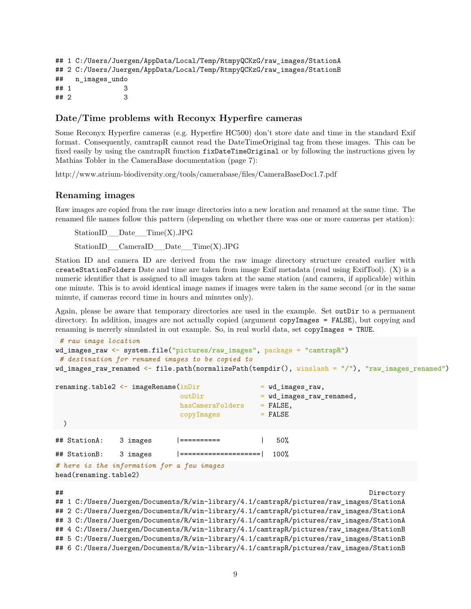```
## 1 C:/Users/Juergen/AppData/Local/Temp/RtmpyQCKzG/raw_images/StationA
## 2 C:/Users/Juergen/AppData/Local/Temp/RtmpyQCKzG/raw_images/StationB
## n_images_undo
## 1 3
## 2 3
```
## <span id="page-8-0"></span>**Date/Time problems with Reconyx Hyperfire cameras**

Some Reconyx Hyperfire cameras (e.g. Hyperfire HC500) don't store date and time in the standard Exif format. Consequently, camtrapR cannot read the DateTimeOriginal tag from these images. This can be fixed easily by using the camtrapR function fixDateTimeOriginal or by following the instructions given by Mathias Tobler in the CameraBase documentation (page 7):

<http://www.atrium-biodiversity.org/tools/camerabase/files/CameraBaseDoc1.7.pdf>

#### <span id="page-8-1"></span>**Renaming images**

Raw images are copied from the raw image directories into a new location and renamed at the same time. The renamed file names follow this pattern (depending on whether there was one or more cameras per station):

StationID\_\_Date\_\_Time(X).JPG

StationID CameraID Date Time(X).JPG

Station ID and camera ID are derived from the raw image directory structure created earlier with createStationFolders Date and time are taken from image Exif metadata (read using ExifTool). (X) is a numeric identifier that is assigned to all images taken at the same station (and camera, if applicable) within one minute. This is to avoid identical image names if images were taken in the same second (or in the same minute, if cameras record time in hours and minutes only).

Again, please be aware that temporary directories are used in the example. Set outDir to a permanent directory. In addition, images are not actually copied (argument copyImages = FALSE), but copying and renaming is mererly simulated in out example. So, in real world data, set copyImages = TRUE.

```
# raw image location
wd_images_raw <- system.file("pictures/raw_images", package = "camtrapR")
 # destination for renamed images to be copied to
wd_images_raw_renamed <- file.path(normalizePath(tempdir(), winslash = "/"), "raw_images_renamed")
```

```
renaming.table2 \leq imageRename(inDir = wd_images_raw,
                         outDir = wd_images_raw_renamed,
                         hasCameraFolders = FALSE,
                         copyImages = FALSE)
## StationA: 3 images |========== | 50%
## StationB: 3 images |====================| 100%
# here is the information for a few images
```
head(renaming.table2)

## Directory

```
## 1 C:/Users/Juergen/Documents/R/win-library/4.1/camtrapR/pictures/raw_images/StationA
## 2 C:/Users/Juergen/Documents/R/win-library/4.1/camtrapR/pictures/raw_images/StationA
## 3 C:/Users/Juergen/Documents/R/win-library/4.1/camtrapR/pictures/raw_images/StationA
## 4 C:/Users/Juergen/Documents/R/win-library/4.1/camtrapR/pictures/raw_images/StationB
## 5 C:/Users/Juergen/Documents/R/win-library/4.1/camtrapR/pictures/raw_images/StationB
## 6 C:/Users/Juergen/Documents/R/win-library/4.1/camtrapR/pictures/raw_images/StationB
```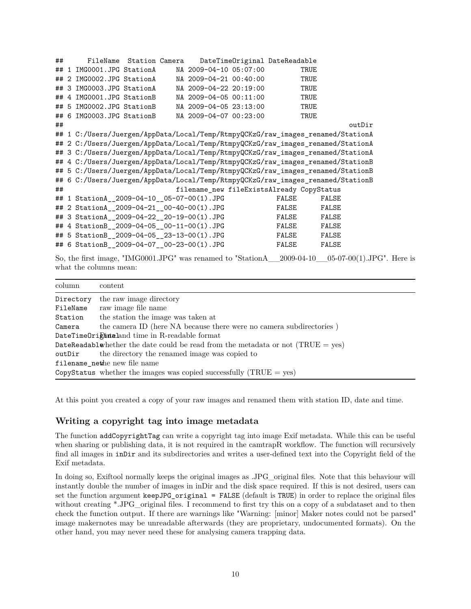| ##     |                | FileName                                                                        | Station Camera |  |                        |  | DateTimeOriginal DateReadable                                                   |        |
|--------|----------------|---------------------------------------------------------------------------------|----------------|--|------------------------|--|---------------------------------------------------------------------------------|--------|
| ## $1$ |                | IMG0001.JPG StationA                                                            |                |  | NA 2009-04-10 05:07:00 |  | TRUE                                                                            |        |
| ##     |                | 2 IMG0002.JPG StationA                                                          |                |  | NA 2009-04-21 00:40:00 |  | TRUE                                                                            |        |
|        |                | ## 3 IMG0003.JPG StationA                                                       |                |  | NA 2009-04-22 20:19:00 |  | TRUE                                                                            |        |
| ##     | $\overline{4}$ | IMG0001.JPG StationB                                                            |                |  | NA 2009-04-05 00:11:00 |  | TRUE                                                                            |        |
|        |                | ## 5 IMG0002.JPG StationB                                                       |                |  | NA 2009-04-05 23:13:00 |  | TRUE                                                                            |        |
|        |                | ## 6 IMG0003.JPG StationB                                                       |                |  | NA 2009-04-07 00:23:00 |  | TRUE                                                                            |        |
| ##     |                |                                                                                 |                |  |                        |  |                                                                                 | outDir |
|        |                | ## 1 C:/Users/Juergen/AppData/Local/Temp/RtmpyQCKzG/raw_images_renamed/StationA |                |  |                        |  |                                                                                 |        |
|        |                | ## 2 C:/Users/Juergen/AppData/Local/Temp/RtmpyQCKzG/raw_images_renamed/StationA |                |  |                        |  |                                                                                 |        |
|        |                | ## 3 C:/Users/Juergen/AppData/Local/Temp/RtmpyQCKzG/raw_images_renamed/StationA |                |  |                        |  |                                                                                 |        |
|        |                |                                                                                 |                |  |                        |  | ## 4 C:/Users/Juergen/AppData/Local/Temp/RtmpyQCKzG/raw_images_renamed/StationB |        |
|        |                |                                                                                 |                |  |                        |  | ## 5 C:/Users/Juergen/AppData/Local/Temp/RtmpyQCKzG/raw_images_renamed/StationB |        |
|        |                |                                                                                 |                |  |                        |  | ## 6 C:/Users/Juergen/AppData/Local/Temp/RtmpyQCKzG/raw_images_renamed/StationB |        |
| ##     |                |                                                                                 |                |  |                        |  | filename_new fileExistsAlready CopyStatus                                       |        |
|        |                | ## 1 StationA_2009-04-10_05-07-00(1).JPG                                        |                |  |                        |  | FALSE<br>FALSE                                                                  |        |
| ##     |                | 2 StationA_2009-04-21_00-40-00(1).JPG                                           |                |  |                        |  | FALSE<br>FALSE                                                                  |        |
|        |                | ## 3 StationA_2009-04-22_20-19-00(1).JPG                                        |                |  |                        |  | FALSE<br>FALSE                                                                  |        |
|        |                | ## 4 StationB_2009-04-05_00-11-00(1).JPG                                        |                |  |                        |  | FALSE<br>FALSE                                                                  |        |
|        |                | ## 5 StationB_2009-04-05_23-13-00(1).JPG                                        |                |  |                        |  | FALSE<br>FALSE                                                                  |        |
|        |                | ## 6 StationB_2009-04-07_00-23-00(1).JPG                                        |                |  |                        |  | FALSE<br>FALSE                                                                  |        |

So, the first image, "IMG0001.JPG" was renamed to "StationA\_\_2009-04-10\_\_05-07-00(1).JPG". Here is what the columns mean:

| column                                                                             | content                                                              |  |  |  |
|------------------------------------------------------------------------------------|----------------------------------------------------------------------|--|--|--|
| Directory                                                                          | the raw image directory                                              |  |  |  |
| FileName                                                                           | raw image file name                                                  |  |  |  |
| Station                                                                            | the station the image was taken at                                   |  |  |  |
| Camera                                                                             | the camera ID (here NA because there were no camera subdirectories)  |  |  |  |
| DateTimeOrightaland time in R-readable format                                      |                                                                      |  |  |  |
| DateReadablevhether the date could be read from the metadata or not $(TRUE = yes)$ |                                                                      |  |  |  |
| outDir                                                                             | the directory the renamed image was copied to                        |  |  |  |
| filename_nethe new file name                                                       |                                                                      |  |  |  |
|                                                                                    | CopyStatus whether the images was copied successfully $(TRUE = yes)$ |  |  |  |

At this point you created a copy of your raw images and renamed them with station ID, date and time.

## <span id="page-9-0"></span>**Writing a copyright tag into image metadata**

The function addCopyrightTag can write a copyright tag into image Exif metadata. While this can be useful when sharing or publishing data, it is not required in the camtrapR workflow. The function will recursively find all images in inDir and its subdirectories and writes a user-defined text into the Copyright field of the Exif metadata.

In doing so, Exiftool normally keeps the original images as .JPG original files. Note that this behaviour will instantly double the number of images in inDir and the disk space required. If this is not desired, users can set the function argument keepJPG\_original = FALSE (default is TRUE) in order to replace the original files without creating \*.JPG\_original files. I recommend to first try this on a copy of a subdataset and to then check the function output. If there are warnings like "Warning: [minor] Maker notes could not be parsed" image makernotes may be unreadable afterwards (they are proprietary, undocumented formats). On the other hand, you may never need these for analysing camera trapping data.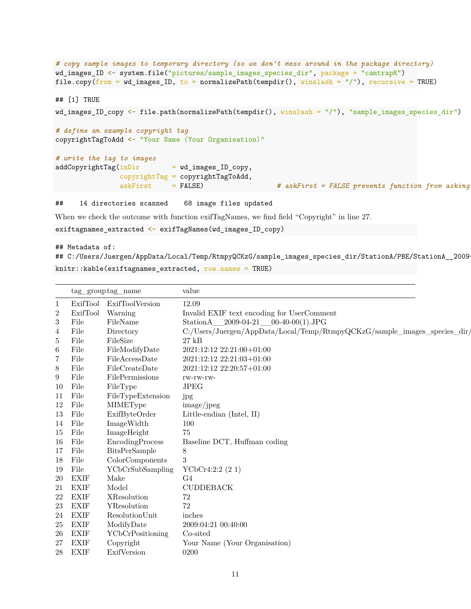```
# copy sample images to temporary directory (so we don't mess around in the package directory)
wd_images_ID <- system.file("pictures/sample_images_species_dir", package = "camtrapR")
file.copy(from = wd_images_ID, to = normalizePath(tempdir(), winslash = "/"), recursive = TRUE)
## [1] TRUE
wd_images_ID_copy <- file.path(normalizePath(tempdir(), winslash = "/"), "sample_images_species_dir")
# define an example copyright tag
copyrightTagToAdd <- "Your Name (Your Organisation)"
# write the tag to images
addCopyrightTag(inDir = wd\_imagesID\_copy,copyrightTag = copyrightTagToAdd,
               askFirst = FALSE) # askFirst = FALSE prevents function from asking
```
## 14 directories scanned 68 image files updated

When we check the outcome with function exifTagNames, we find field "Copyright" in line 27.

```
exiftagnames extracted <- exifTagNames(wd_images_ID_copy)
```
## Metadata of:

## C:/Users/Juergen/AppData/Local/Temp/RtmpyQCKzG/sample\_images\_species\_dir/StationA/PBE/StationA\_\_2009 knitr::kable(exiftagnames\_extracted, row.names = TRUE)

|              | tag group tag name |                      | value                                                                     |
|--------------|--------------------|----------------------|---------------------------------------------------------------------------|
| $\mathbf{1}$ | ExifTool           | ExifToolVersion      | 12.09                                                                     |
| 2            | ExifTool           | Warning              | Invalid EXIF text encoding for UserComment                                |
| $\,3$        | File               | FileName             | StationA 2009-04-21 00-40-00(1).JPG                                       |
| 4            | File               | Directory            | C:/Users/Juergen/AppData/Local/Temp/RtmpyQCKzG/sample_images_species_dir/ |
| 5            | File               | FileSize             | $27$ $kB$                                                                 |
| 6            | File               | FileModifyDate       | 2021:12:12 22:21:00+01:00                                                 |
| 7            | File               | FileAccessDate       | 2021:12:12 22:21:03+01:00                                                 |
| 8            | File               | FileCreateDate       | 2021:12:12 22:20:57+01:00                                                 |
| 9            | File               | FilePermissions      | rw-rw-rw-                                                                 |
| 10           | File               | FileType             | <b>JPEG</b>                                                               |
| 11           | File               | FileTypeExtension    | jpg                                                                       |
| 12           | File               | <b>MIMEType</b>      | image/jpeg                                                                |
| 13           | File               | ExifByteOrder        | Little-endian (Intel, II)                                                 |
| 14           | File               | ImageWidth           | 100                                                                       |
| 15           | File               | ImageHeight          | 75                                                                        |
| 16           | File               | EncodingProcess      | Baseline DCT, Huffman coding                                              |
| 17           | File               | <b>BitsPerSample</b> | 8                                                                         |
| 18           | File               | ColorComponents      | 3                                                                         |
| 19           | File               | YCbCrSubSampling     | YCbCr4:2:2(21)                                                            |
| 20           | <b>EXIF</b>        | Make                 | G4                                                                        |
| 21           | <b>EXIF</b>        | Model                | <b>CUDDEBACK</b>                                                          |
| 22           | <b>EXIF</b>        | XResolution          | 72                                                                        |
| 23           | <b>EXIF</b>        | YResolution          | 72                                                                        |
| 24           | <b>EXIF</b>        | ResolutionUnit       | inches                                                                    |
| 25           | <b>EXIF</b>        | ModifyDate           | 2009:04:21 00:40:00                                                       |
| 26           | <b>EXIF</b>        | YCbCrPositioning     | Co-sited                                                                  |
| 27           | <b>EXIF</b>        | Copyright            | Your Name (Your Organisation)                                             |
| 28           | <b>EXIF</b>        | ExifVersion          | 0200                                                                      |